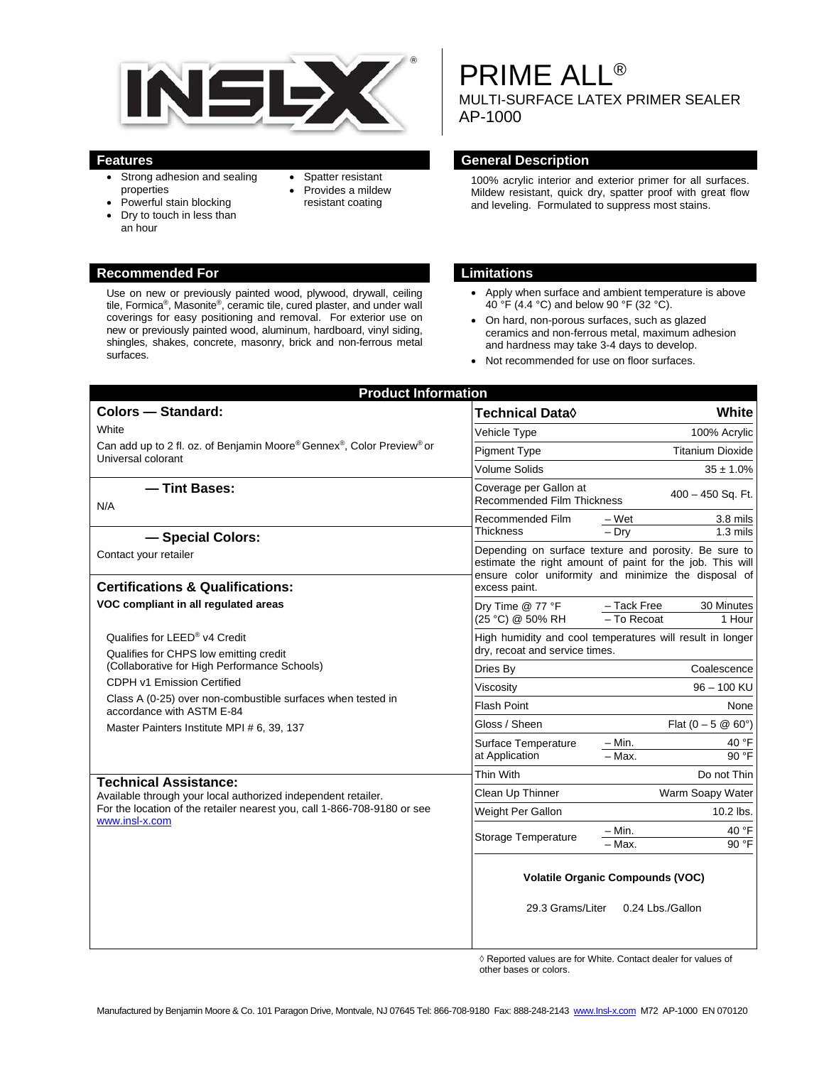

- Strong adhesion and sealing properties
- Provides a mildew resistant coating

• Spatter resistant

- Powerful stain blocking
- Dry to touch in less than an hour

## **Recommended For Limitations**

Use on new or previously painted wood, plywood, drywall, ceiling tile, Formica®, Masonite®, ceramic tile, cured plaster, and under wall coverings for easy positioning and removal. For exterior use on new or previously painted wood, aluminum, hardboard, vinyl siding, shingles, shakes, concrete, masonry, brick and non-ferrous metal surfaces.

PRIME ALL®

MULTI-SURFACE LATEX PRIMER SEALER AP-1000

#### **Features General Description**

100% acrylic interior and exterior primer for all surfaces. Mildew resistant, quick dry, spatter proof with great flow and leveling. Formulated to suppress most stains.

- Apply when surface and ambient temperature is above 40 °F (4.4 °C) and below 90 °F (32 °C).
- On hard, non-porous surfaces, such as glazed ceramics and non-ferrous metal, maximum adhesion and hardness may take 3-4 days to develop.
- Not recommended for use on floor surfaces.

| <b>Product Information</b>                                                                                                                                                                                                                                                                      |                                                                                                                                                                            |                               |
|-------------------------------------------------------------------------------------------------------------------------------------------------------------------------------------------------------------------------------------------------------------------------------------------------|----------------------------------------------------------------------------------------------------------------------------------------------------------------------------|-------------------------------|
| <b>Colors - Standard:</b>                                                                                                                                                                                                                                                                       | Technical Data◊                                                                                                                                                            | White                         |
| White<br>Can add up to 2 fl. oz. of Benjamin Moore® Gennex®, Color Preview® or<br>Universal colorant                                                                                                                                                                                            | Vehicle Type                                                                                                                                                               | 100% Acrylic                  |
|                                                                                                                                                                                                                                                                                                 | <b>Pigment Type</b>                                                                                                                                                        | <b>Titanium Dioxide</b>       |
|                                                                                                                                                                                                                                                                                                 | <b>Volume Solids</b>                                                                                                                                                       | $35 \pm 1.0\%$                |
| - Tint Bases:<br>N/A                                                                                                                                                                                                                                                                            | Coverage per Gallon at<br><b>Recommended Film Thickness</b>                                                                                                                | 400 - 450 Sq. Ft.             |
|                                                                                                                                                                                                                                                                                                 | Recommended Film<br>– Wet                                                                                                                                                  | 3.8 mils                      |
| - Special Colors:                                                                                                                                                                                                                                                                               | Thickness<br>$-$ Drv                                                                                                                                                       | $1.3 \text{ miles}$           |
| Contact your retailer                                                                                                                                                                                                                                                                           | Depending on surface texture and porosity. Be sure to<br>estimate the right amount of paint for the job. This will<br>ensure color uniformity and minimize the disposal of |                               |
| <b>Certifications &amp; Qualifications:</b>                                                                                                                                                                                                                                                     | excess paint.                                                                                                                                                              |                               |
| VOC compliant in all regulated areas                                                                                                                                                                                                                                                            | - Tack Free<br>Dry Time @ 77 °F<br>(25 °C) @ 50% RH<br>- To Recoat                                                                                                         | 30 Minutes<br>1 Hour          |
| Qualifies for LEED® v4 Credit<br>Qualifies for CHPS low emitting credit<br>(Collaborative for High Performance Schools)<br>CDPH v1 Emission Certified<br>Class A (0-25) over non-combustible surfaces when tested in<br>accordance with ASTM E-84<br>Master Painters Institute MPI # 6, 39, 137 | High humidity and cool temperatures will result in longer<br>dry, recoat and service times.                                                                                |                               |
|                                                                                                                                                                                                                                                                                                 | Dries Bv                                                                                                                                                                   | Coalescence                   |
|                                                                                                                                                                                                                                                                                                 | Viscosity                                                                                                                                                                  | 96 - 100 KU                   |
|                                                                                                                                                                                                                                                                                                 | <b>Flash Point</b>                                                                                                                                                         | None                          |
|                                                                                                                                                                                                                                                                                                 | Gloss / Sheen                                                                                                                                                              | Flat $(0 - 5 \ @ 60^{\circ})$ |
|                                                                                                                                                                                                                                                                                                 | $- Min.$<br>Surface Temperature<br>$-$ Max.<br>at Application                                                                                                              | 40 °F<br>90 °F                |
| <b>Technical Assistance:</b><br>Available through your local authorized independent retailer.<br>For the location of the retailer nearest you, call 1-866-708-9180 or see<br>www.insl-x.com                                                                                                     | Thin With                                                                                                                                                                  | Do not Thin                   |
|                                                                                                                                                                                                                                                                                                 | Clean Up Thinner                                                                                                                                                           | Warm Soapy Water              |
|                                                                                                                                                                                                                                                                                                 | Weight Per Gallon                                                                                                                                                          | 10.2 lbs.                     |
|                                                                                                                                                                                                                                                                                                 | $-$ Min.<br>Storage Temperature<br>$-\overline{\text{Max}}$ .                                                                                                              | 40 °F<br>90 °F                |
|                                                                                                                                                                                                                                                                                                 | <b>Volatile Organic Compounds (VOC)</b>                                                                                                                                    |                               |
|                                                                                                                                                                                                                                                                                                 | 29.3 Grams/Liter<br>0.24 Lbs./Gallon                                                                                                                                       |                               |

◊ Reported values are for White. Contact dealer for values of other bases or colors.